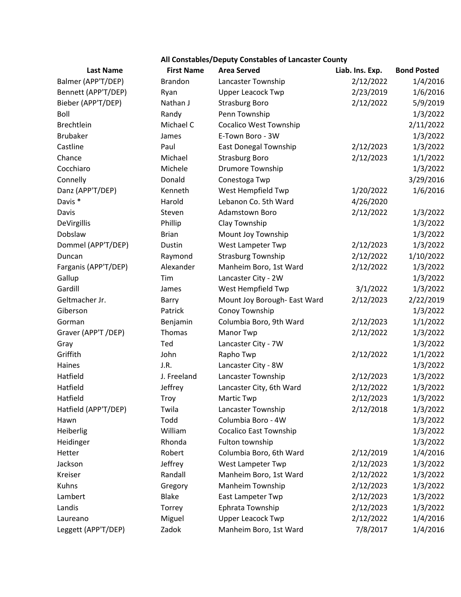| All Constables/Deputy Constables of Lancaster County |                   |                               |                 |                    |  |  |
|------------------------------------------------------|-------------------|-------------------------------|-----------------|--------------------|--|--|
| <b>Last Name</b>                                     | <b>First Name</b> | <b>Area Served</b>            | Liab. Ins. Exp. | <b>Bond Posted</b> |  |  |
| Balmer (APP'T/DEP)                                   | <b>Brandon</b>    | Lancaster Township            | 2/12/2022       | 1/4/2016           |  |  |
| Bennett (APP'T/DEP)                                  | Ryan              | <b>Upper Leacock Twp</b>      | 2/23/2019       | 1/6/2016           |  |  |
| Bieber (APP'T/DEP)                                   | Nathan J          | <b>Strasburg Boro</b>         | 2/12/2022       | 5/9/2019           |  |  |
| Boll                                                 | Randy             | Penn Township                 |                 | 1/3/2022           |  |  |
| <b>Brechtlein</b>                                    | Michael C         | <b>Cocalico West Township</b> |                 | 2/11/2022          |  |  |
| <b>Brubaker</b>                                      | James             | E-Town Boro - 3W              |                 | 1/3/2022           |  |  |
| Castline                                             | Paul              | East Donegal Township         | 2/12/2023       | 1/3/2022           |  |  |
| Chance                                               | Michael           | <b>Strasburg Boro</b>         | 2/12/2023       | 1/1/2022           |  |  |
| Cocchiaro                                            | Michele           | <b>Drumore Township</b>       |                 | 1/3/2022           |  |  |
| Connelly                                             | Donald            | Conestoga Twp                 |                 | 3/29/2016          |  |  |
| Danz (APP'T/DEP)                                     | Kenneth           | West Hempfield Twp            | 1/20/2022       | 1/6/2016           |  |  |
| Davis *                                              | Harold            | Lebanon Co. 5th Ward          | 4/26/2020       |                    |  |  |
| Davis                                                | Steven            | Adamstown Boro                | 2/12/2022       | 1/3/2022           |  |  |
| DeVirgillis                                          | Phillip           | Clay Township                 |                 | 1/3/2022           |  |  |
| Dobslaw                                              | <b>Brian</b>      | Mount Joy Township            |                 | 1/3/2022           |  |  |
| Dommel (APP'T/DEP)                                   | Dustin            | West Lampeter Twp             | 2/12/2023       | 1/3/2022           |  |  |
| Duncan                                               | Raymond           | <b>Strasburg Township</b>     | 2/12/2022       | 1/10/2022          |  |  |
| Farganis (APP'T/DEP)                                 | Alexander         | Manheim Boro, 1st Ward        | 2/12/2022       | 1/3/2022           |  |  |
| Gallup                                               | Tim               | Lancaster City - 2W           |                 | 1/3/2022           |  |  |
| Gardill                                              | James             | West Hempfield Twp            | 3/1/2022        | 1/3/2022           |  |  |
| Geltmacher Jr.                                       | Barry             | Mount Joy Borough- East Ward  | 2/12/2023       | 2/22/2019          |  |  |
| Giberson                                             | Patrick           | Conoy Township                |                 | 1/3/2022           |  |  |
| Gorman                                               | Benjamin          | Columbia Boro, 9th Ward       | 2/12/2023       | 1/1/2022           |  |  |
| Graver (APP'T /DEP)                                  | Thomas            | <b>Manor Twp</b>              | 2/12/2022       | 1/3/2022           |  |  |
| Gray                                                 | Ted               | Lancaster City - 7W           |                 | 1/3/2022           |  |  |
| Griffith                                             | John              | Rapho Twp                     | 2/12/2022       | 1/1/2022           |  |  |
| Haines                                               | J.R.              | Lancaster City - 8W           |                 | 1/3/2022           |  |  |
| Hatfield                                             | J. Freeland       | Lancaster Township            | 2/12/2023       | 1/3/2022           |  |  |
| Hatfield                                             | Jeffrey           | Lancaster City, 6th Ward      | 2/12/2022       | 1/3/2022           |  |  |
| Hatfield                                             | Troy              | <b>Martic Twp</b>             | 2/12/2023       | 1/3/2022           |  |  |
| Hatfield (APP'T/DEP)                                 | Twila             | Lancaster Township            | 2/12/2018       | 1/3/2022           |  |  |
| Hawn                                                 | Todd              | Columbia Boro - 4W            |                 | 1/3/2022           |  |  |
| Heiberlig                                            | William           | <b>Cocalico East Township</b> |                 | 1/3/2022           |  |  |
| Heidinger                                            | Rhonda            | Fulton township               |                 | 1/3/2022           |  |  |
| Hetter                                               | Robert            | Columbia Boro, 6th Ward       | 2/12/2019       | 1/4/2016           |  |  |
| Jackson                                              | Jeffrey           | West Lampeter Twp             | 2/12/2023       | 1/3/2022           |  |  |
| Kreiser                                              | Randall           | Manheim Boro, 1st Ward        | 2/12/2022       | 1/3/2022           |  |  |
| Kuhns                                                | Gregory           | Manheim Township              | 2/12/2023       | 1/3/2022           |  |  |
| Lambert                                              | <b>Blake</b>      | East Lampeter Twp             | 2/12/2023       | 1/3/2022           |  |  |
| Landis                                               | Torrey            | Ephrata Township              | 2/12/2023       | 1/3/2022           |  |  |
| Laureano                                             | Miguel            | <b>Upper Leacock Twp</b>      | 2/12/2022       | 1/4/2016           |  |  |
| Leggett (APP'T/DEP)                                  | Zadok             | Manheim Boro, 1st Ward        | 7/8/2017        | 1/4/2016           |  |  |